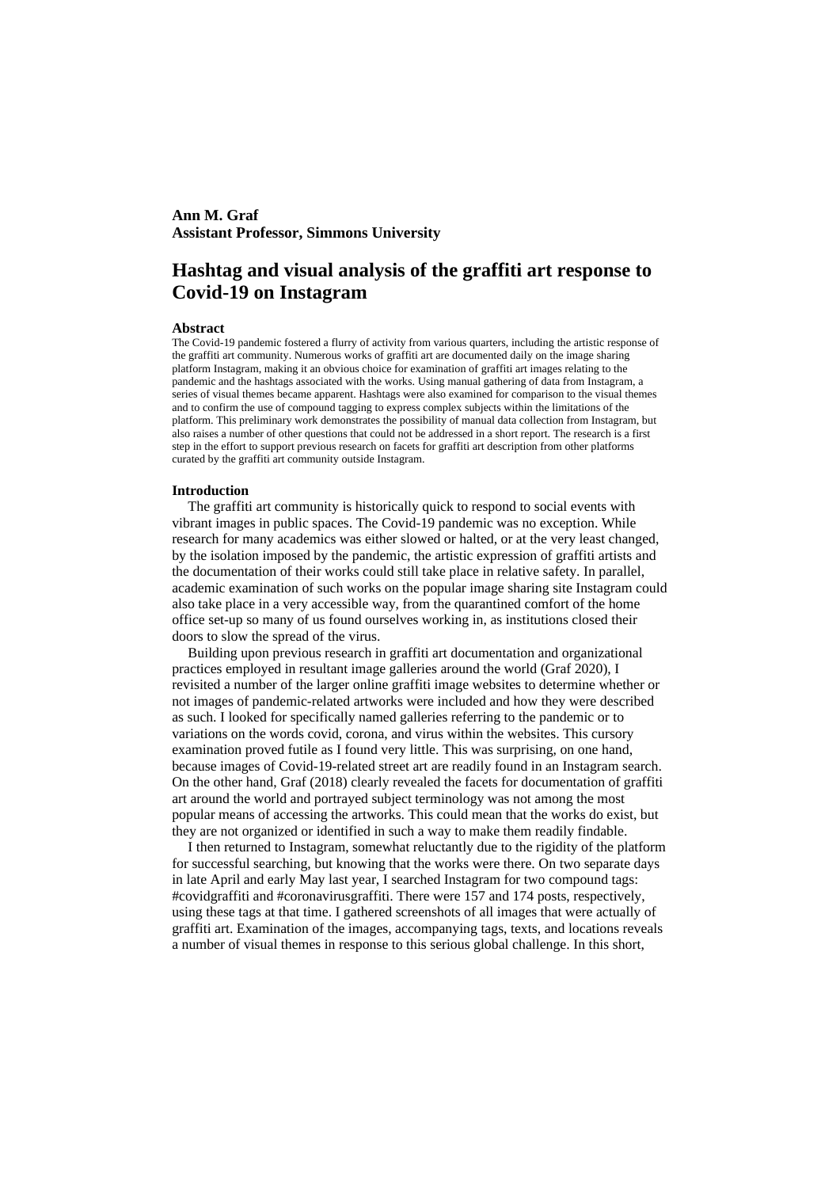# **Ann M. Graf Assistant Professor, Simmons University**

# **Hashtag and visual analysis of the graffiti art response to Covid-19 on Instagram**

#### **Abstract**

The Covid-19 pandemic fostered a flurry of activity from various quarters, including the artistic response of the graffiti art community. Numerous works of graffiti art are documented daily on the image sharing platform Instagram, making it an obvious choice for examination of graffiti art images relating to the pandemic and the hashtags associated with the works. Using manual gathering of data from Instagram, a series of visual themes became apparent. Hashtags were also examined for comparison to the visual themes and to confirm the use of compound tagging to express complex subjects within the limitations of the platform. This preliminary work demonstrates the possibility of manual data collection from Instagram, but also raises a number of other questions that could not be addressed in a short report. The research is a first step in the effort to support previous research on facets for graffiti art description from other platforms curated by the graffiti art community outside Instagram.

#### **Introduction**

The graffiti art community is historically quick to respond to social events with vibrant images in public spaces. The Covid-19 pandemic was no exception. While research for many academics was either slowed or halted, or at the very least changed, by the isolation imposed by the pandemic, the artistic expression of graffiti artists and the documentation of their works could still take place in relative safety. In parallel, academic examination of such works on the popular image sharing site Instagram could also take place in a very accessible way, from the quarantined comfort of the home office set-up so many of us found ourselves working in, as institutions closed their doors to slow the spread of the virus.

Building upon previous research in graffiti art documentation and organizational practices employed in resultant image galleries around the world (Graf 2020), I revisited a number of the larger online graffiti image websites to determine whether or not images of pandemic-related artworks were included and how they were described as such. I looked for specifically named galleries referring to the pandemic or to variations on the words covid, corona, and virus within the websites. This cursory examination proved futile as I found very little. This was surprising, on one hand, because images of Covid-19-related street art are readily found in an Instagram search. On the other hand, Graf (2018) clearly revealed the facets for documentation of graffiti art around the world and portrayed subject terminology was not among the most popular means of accessing the artworks. This could mean that the works do exist, but they are not organized or identified in such a way to make them readily findable.

I then returned to Instagram, somewhat reluctantly due to the rigidity of the platform for successful searching, but knowing that the works were there. On two separate days in late April and early May last year, I searched Instagram for two compound tags: #covidgraffiti and #coronavirusgraffiti. There were 157 and 174 posts, respectively, using these tags at that time. I gathered screenshots of all images that were actually of graffiti art. Examination of the images, accompanying tags, texts, and locations reveals a number of visual themes in response to this serious global challenge. In this short,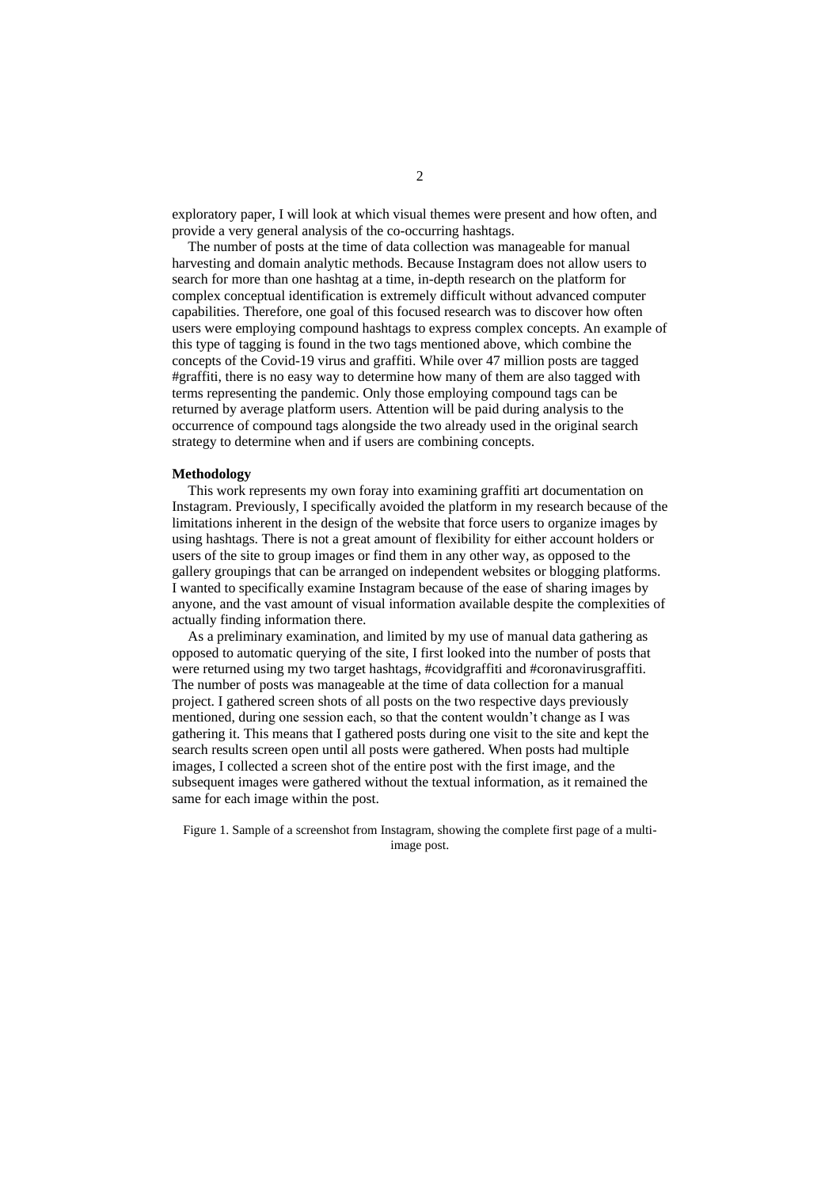exploratory paper, I will look at which visual themes were present and how often, and provide a very general analysis of the co-occurring hashtags.

The number of posts at the time of data collection was manageable for manual harvesting and domain analytic methods. Because Instagram does not allow users to search for more than one hashtag at a time, in-depth research on the platform for complex conceptual identification is extremely difficult without advanced computer capabilities. Therefore, one goal of this focused research was to discover how often users were employing compound hashtags to express complex concepts. An example of this type of tagging is found in the two tags mentioned above, which combine the concepts of the Covid-19 virus and graffiti. While over 47 million posts are tagged #graffiti, there is no easy way to determine how many of them are also tagged with terms representing the pandemic. Only those employing compound tags can be returned by average platform users. Attention will be paid during analysis to the occurrence of compound tags alongside the two already used in the original search strategy to determine when and if users are combining concepts.

#### **Methodology**

This work represents my own foray into examining graffiti art documentation on Instagram. Previously, I specifically avoided the platform in my research because of the limitations inherent in the design of the website that force users to organize images by using hashtags. There is not a great amount of flexibility for either account holders or users of the site to group images or find them in any other way, as opposed to the gallery groupings that can be arranged on independent websites or blogging platforms. I wanted to specifically examine Instagram because of the ease of sharing images by anyone, and the vast amount of visual information available despite the complexities of actually finding information there.

As a preliminary examination, and limited by my use of manual data gathering as opposed to automatic querying of the site, I first looked into the number of posts that were returned using my two target hashtags, #covidgraffiti and #coronavirusgraffiti. The number of posts was manageable at the time of data collection for a manual project. I gathered screen shots of all posts on the two respective days previously mentioned, during one session each, so that the content wouldn't change as I was gathering it. This means that I gathered posts during one visit to the site and kept the search results screen open until all posts were gathered. When posts had multiple images, I collected a screen shot of the entire post with the first image, and the subsequent images were gathered without the textual information, as it remained the same for each image within the post.

Figure 1. Sample of a screenshot from Instagram, showing the complete first page of a multiimage post.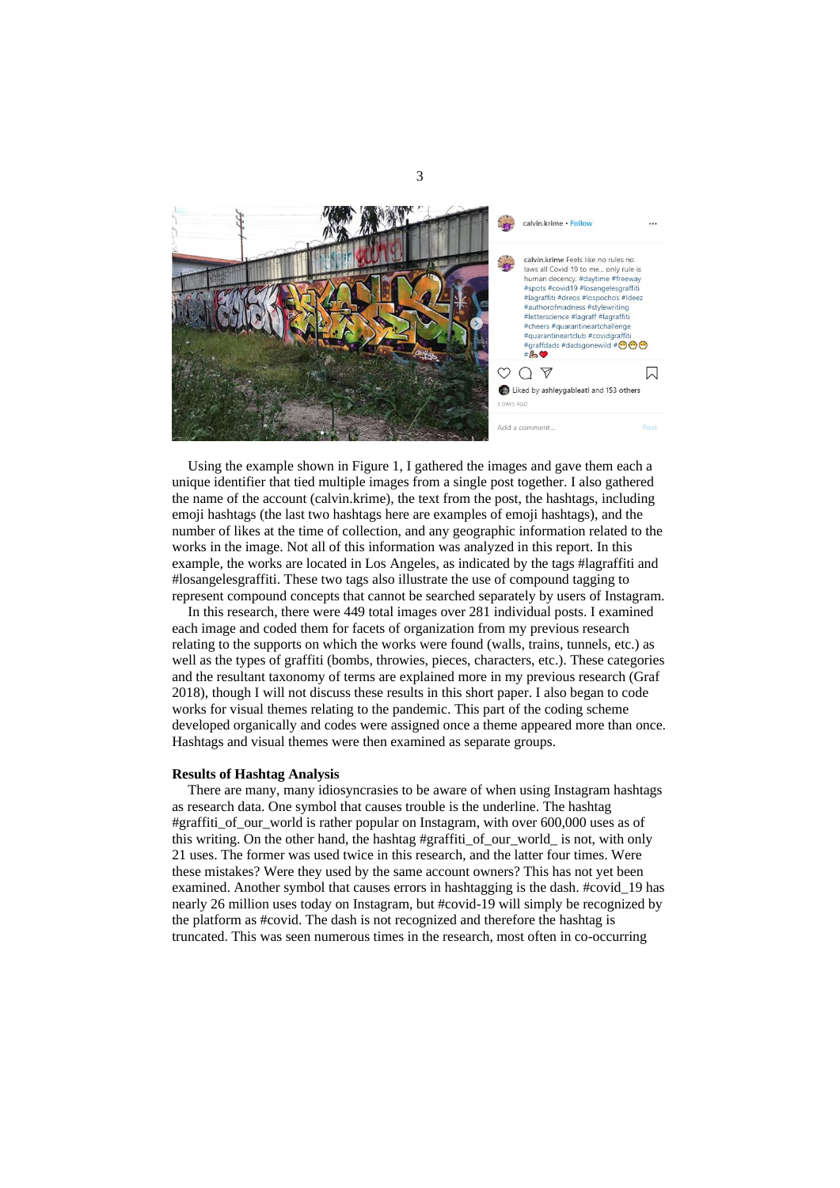

Using the example shown in Figure 1, I gathered the images and gave them each a unique identifier that tied multiple images from a single post together. I also gathered the name of the account (calvin.krime), the text from the post, the hashtags, including emoji hashtags (the last two hashtags here are examples of emoji hashtags), and the number of likes at the time of collection, and any geographic information related to the works in the image. Not all of this information was analyzed in this report. In this example, the works are located in Los Angeles, as indicated by the tags #lagraffiti and #losangelesgraffiti. These two tags also illustrate the use of compound tagging to represent compound concepts that cannot be searched separately by users of Instagram.

In this research, there were 449 total images over 281 individual posts. I examined each image and coded them for facets of organization from my previous research relating to the supports on which the works were found (walls, trains, tunnels, etc.) as well as the types of graffiti (bombs, throwies, pieces, characters, etc.). These categories and the resultant taxonomy of terms are explained more in my previous research (Graf 2018), though I will not discuss these results in this short paper. I also began to code works for visual themes relating to the pandemic. This part of the coding scheme developed organically and codes were assigned once a theme appeared more than once. Hashtags and visual themes were then examined as separate groups.

#### **Results of Hashtag Analysis**

There are many, many idiosyncrasies to be aware of when using Instagram hashtags as research data. One symbol that causes trouble is the underline. The hashtag #graffiti\_of\_our\_world is rather popular on Instagram, with over 600,000 uses as of this writing. On the other hand, the hashtag #graffition of our world is not, with only 21 uses. The former was used twice in this research, and the latter four times. Were these mistakes? Were they used by the same account owners? This has not yet been examined. Another symbol that causes errors in hashtagging is the dash. #covid\_19 has nearly 26 million uses today on Instagram, but #covid-19 will simply be recognized by the platform as #covid. The dash is not recognized and therefore the hashtag is truncated. This was seen numerous times in the research, most often in co-occurring

3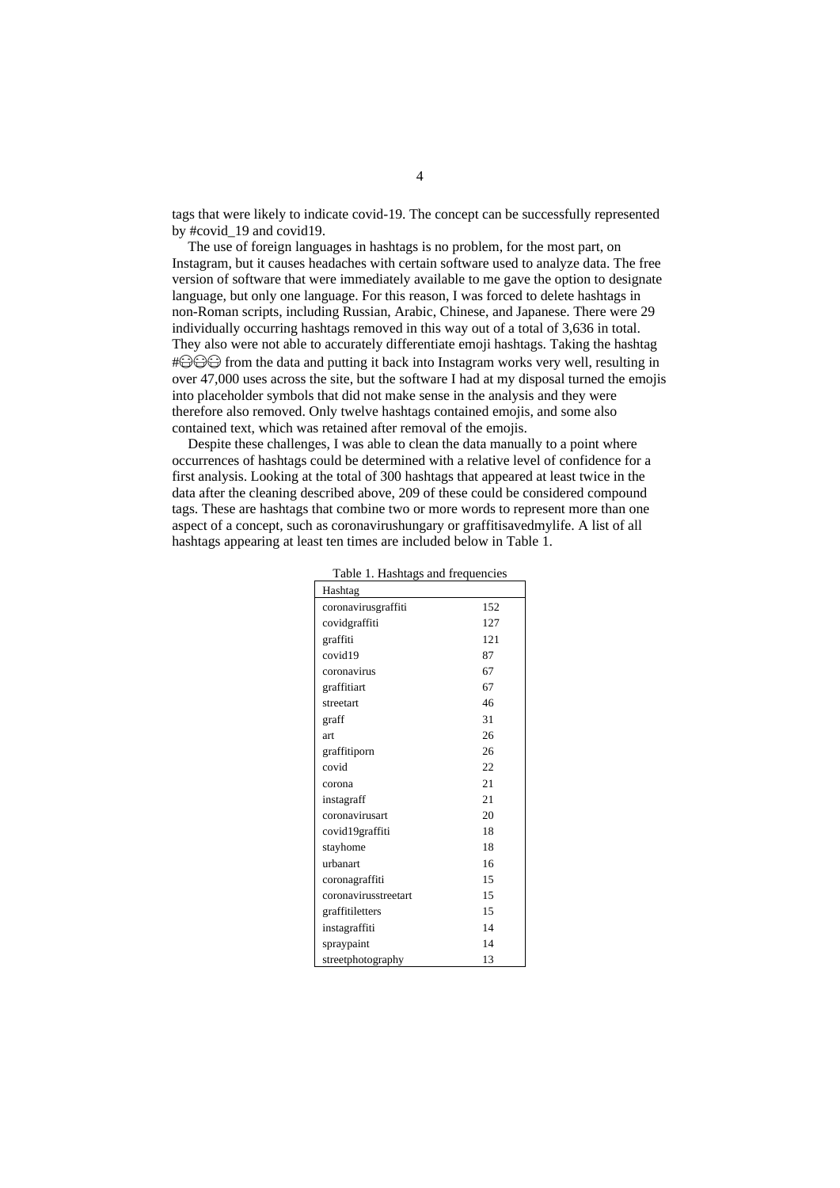tags that were likely to indicate covid-19. The concept can be successfully represented by #covid\_19 and covid19.

The use of foreign languages in hashtags is no problem, for the most part, on Instagram, but it causes headaches with certain software used to analyze data. The free version of software that were immediately available to me gave the option to designate language, but only one language. For this reason, I was forced to delete hashtags in non-Roman scripts, including Russian, Arabic, Chinese, and Japanese. There were 29 individually occurring hashtags removed in this way out of a total of 3,636 in total. They also were not able to accurately differentiate emoji hashtags. Taking the hashtag  $\#\bigoplus \bigoplus$  from the data and putting it back into Instagram works very well, resulting in over 47,000 uses across the site, but the software I had at my disposal turned the emojis into placeholder symbols that did not make sense in the analysis and they were therefore also removed. Only twelve hashtags contained emojis, and some also contained text, which was retained after removal of the emojis.

Despite these challenges. I was able to clean the data manually to a point where occurrences of hashtags could be determined with a relative level of confidence for a first analysis. Looking at the total of 300 hashtags that appeared at least twice in the data after the cleaning described above, 209 of these could be considered compound tags. These are hashtags that combine two or more words to represent more than one aspect of a concept, such as coronavirushungary or graffitisavedmylife. A list of all hashtags appearing at least ten times are included below in Table 1.

| Table 1. Hashtags and frequencies |     |  |
|-----------------------------------|-----|--|
| Hashtag                           |     |  |
| coronavirusgraffiti               | 152 |  |
| covidgraffiti                     | 127 |  |
| graffiti                          | 121 |  |
| covid19                           | 87  |  |
| coronavirus                       | 67  |  |
| graffitiart                       | 67  |  |
| streetart                         | 46  |  |
| graff                             | 31  |  |
| art                               | 26  |  |
| graffitiporn                      | 26  |  |
| covid                             | 22  |  |
| corona                            | 21  |  |
| instagraff                        | 21  |  |
| coronavirusart                    | 20  |  |
| covid19graffiti                   | 18  |  |
| stayhome                          | 18  |  |
| urbanart                          | 16  |  |
| coronagraffiti                    | 15  |  |
| coronavirusstreetart              | 15  |  |
| graffitiletters                   | 15  |  |
| instagraffiti                     | 14  |  |
| spraypaint                        | 14  |  |
| streetphotography                 | 13  |  |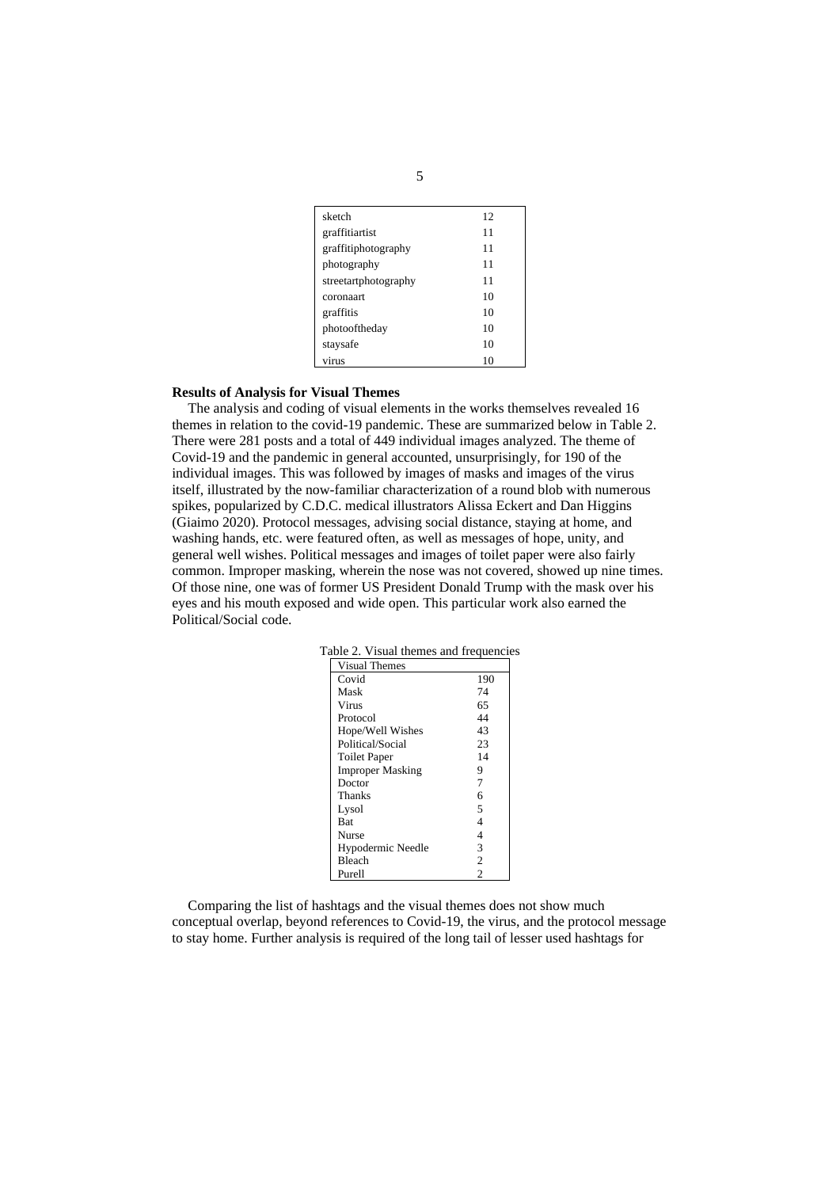| sketch               | 12 |
|----------------------|----|
| graffitiartist       | 11 |
| graffitiphotography  | 11 |
| photography          | 11 |
| streetartphotography | 11 |
| coronaart            | 10 |
| graffitis            | 10 |
| photooftheday        | 10 |
| staysafe             | 10 |
| virus                | 10 |

# **Results of Analysis for Visual Themes**

The analysis and coding of visual elements in the works themselves revealed 16 themes in relation to the covid-19 pandemic. These are summarized below in Table 2. There were 281 posts and a total of 449 individual images analyzed. The theme of Covid-19 and the pandemic in general accounted, unsurprisingly, for 190 of the individual images. This was followed by images of masks and images of the virus itself, illustrated by the now-familiar characterization of a round blob with numerous spikes, popularized by C.D.C. medical illustrators Alissa Eckert and Dan Higgins (Giaimo 2020). Protocol messages, advising social distance, staying at home, and washing hands, etc. were featured often, as well as messages of hope, unity, and general well wishes. Political messages and images of toilet paper were also fairly common. Improper masking, wherein the nose was not covered, showed up nine times. Of those nine, one was of former US President Donald Trump with the mask over his eyes and his mouth exposed and wide open. This particular work also earned the Political/Social code.

| $\alpha$ and $\alpha$ . The state includes and requested |                |
|----------------------------------------------------------|----------------|
| <b>Visual Themes</b>                                     |                |
| Covid                                                    | 190            |
| Mask                                                     | 74             |
| Virus                                                    | 65             |
| Protocol                                                 | 44             |
| Hope/Well Wishes                                         | 43             |
| Political/Social                                         | 23             |
| <b>Toilet Paper</b>                                      | 14             |
| <b>Improper Masking</b>                                  | 9              |
| Doctor                                                   | 7              |
| <b>Thanks</b>                                            | 6              |
| Lysol                                                    | 5              |
| <b>Bat</b>                                               | 4              |
| Nurse                                                    | 4              |
| Hypodermic Needle                                        | 3              |
| <b>Bleach</b>                                            | $\overline{2}$ |
| Purell                                                   | 2              |

Table 2. Visual themes and frequencies

Comparing the list of hashtags and the visual themes does not show much conceptual overlap, beyond references to Covid-19, the virus, and the protocol message to stay home. Further analysis is required of the long tail of lesser used hashtags for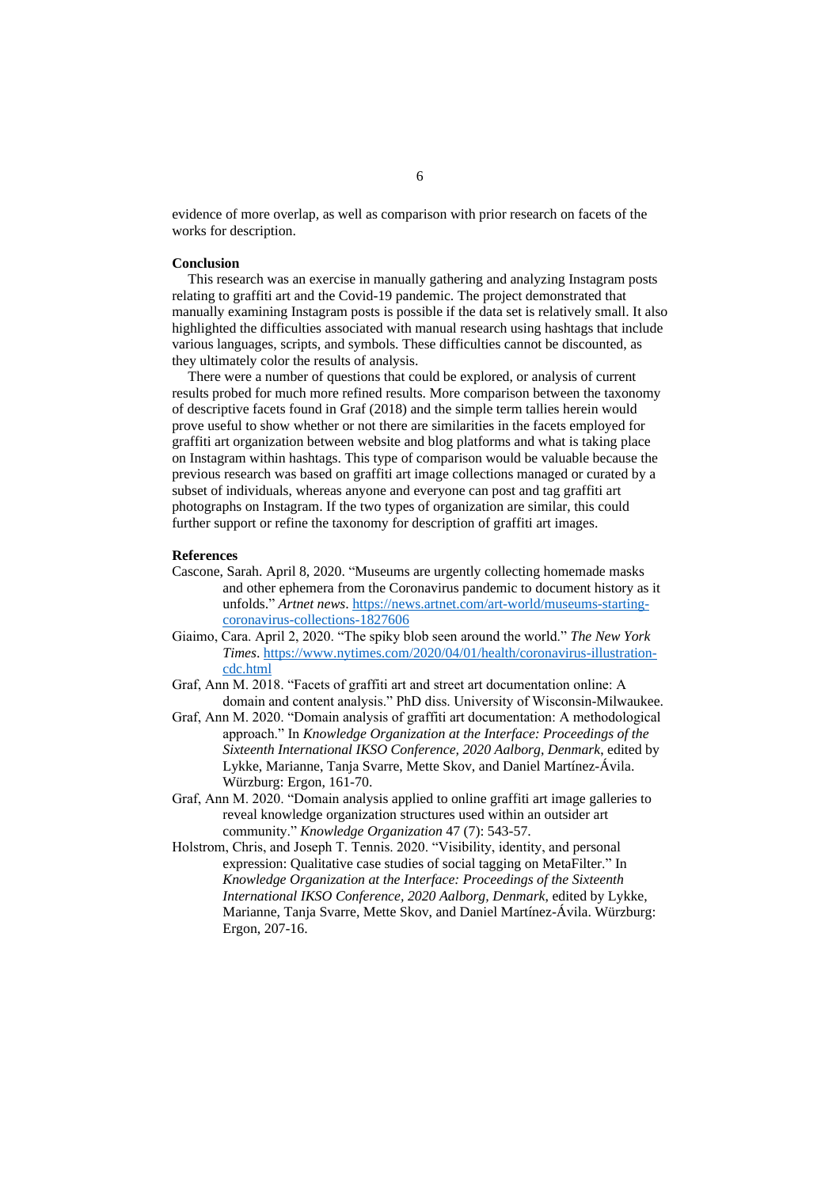evidence of more overlap, as well as comparison with prior research on facets of the works for description.

### **Conclusion**

This research was an exercise in manually gathering and analyzing Instagram posts relating to graffiti art and the Covid-19 pandemic. The project demonstrated that manually examining Instagram posts is possible if the data set is relatively small. It also highlighted the difficulties associated with manual research using hashtags that include various languages, scripts, and symbols. These difficulties cannot be discounted, as they ultimately color the results of analysis.

There were a number of questions that could be explored, or analysis of current results probed for much more refined results. More comparison between the taxonomy of descriptive facets found in Graf (2018) and the simple term tallies herein would prove useful to show whether or not there are similarities in the facets employed for graffiti art organization between website and blog platforms and what is taking place on Instagram within hashtags. This type of comparison would be valuable because the previous research was based on graffiti art image collections managed or curated by a subset of individuals, whereas anyone and everyone can post and tag graffiti art photographs on Instagram. If the two types of organization are similar, this could further support or refine the taxonomy for description of graffiti art images.

## **References**

- Cascone, Sarah. April 8, 2020. "Museums are urgently collecting homemade masks and other ephemera from the Coronavirus pandemic to document history as it unfolds." *Artnet news*. [https://news.artnet.com/art-world/museums-starting](https://news.artnet.com/art-world/museums-starting-coronavirus-collections-1827606)[coronavirus-collections-1827606](https://news.artnet.com/art-world/museums-starting-coronavirus-collections-1827606)
- Giaimo, Cara. April 2, 2020. "The spiky blob seen around the world." *The New York Times*. [https://www.nytimes.com/2020/04/01/health/coronavirus-illustration](https://www.nytimes.com/2020/04/01/health/coronavirus-illustration-cdc.html)[cdc.html](https://www.nytimes.com/2020/04/01/health/coronavirus-illustration-cdc.html)
- Graf, Ann M. 2018. "Facets of graffiti art and street art documentation online: A domain and content analysis." PhD diss. University of Wisconsin-Milwaukee.
- Graf, Ann M. 2020. "Domain analysis of graffiti art documentation: A methodological approach." In *Knowledge Organization at the Interface: Proceedings of the Sixteenth International IKSO Conference, 2020 Aalborg, Denmark*, edited by Lykke, Marianne, Tanja Svarre, Mette Skov, and Daniel Martínez-Ávila. Würzburg: Ergon, 161-70.
- Graf, Ann M. 2020. "Domain analysis applied to online graffiti art image galleries to reveal knowledge organization structures used within an outsider art community." *Knowledge Organization* 47 (7): 543-57.
- Holstrom, Chris, and Joseph T. Tennis. 2020. "Visibility, identity, and personal expression: Qualitative case studies of social tagging on MetaFilter." In *Knowledge Organization at the Interface: Proceedings of the Sixteenth International IKSO Conference, 2020 Aalborg, Denmark*, edited by Lykke, Marianne, Tanja Svarre, Mette Skov, and Daniel Martínez-Ávila. Würzburg: Ergon, 207-16.